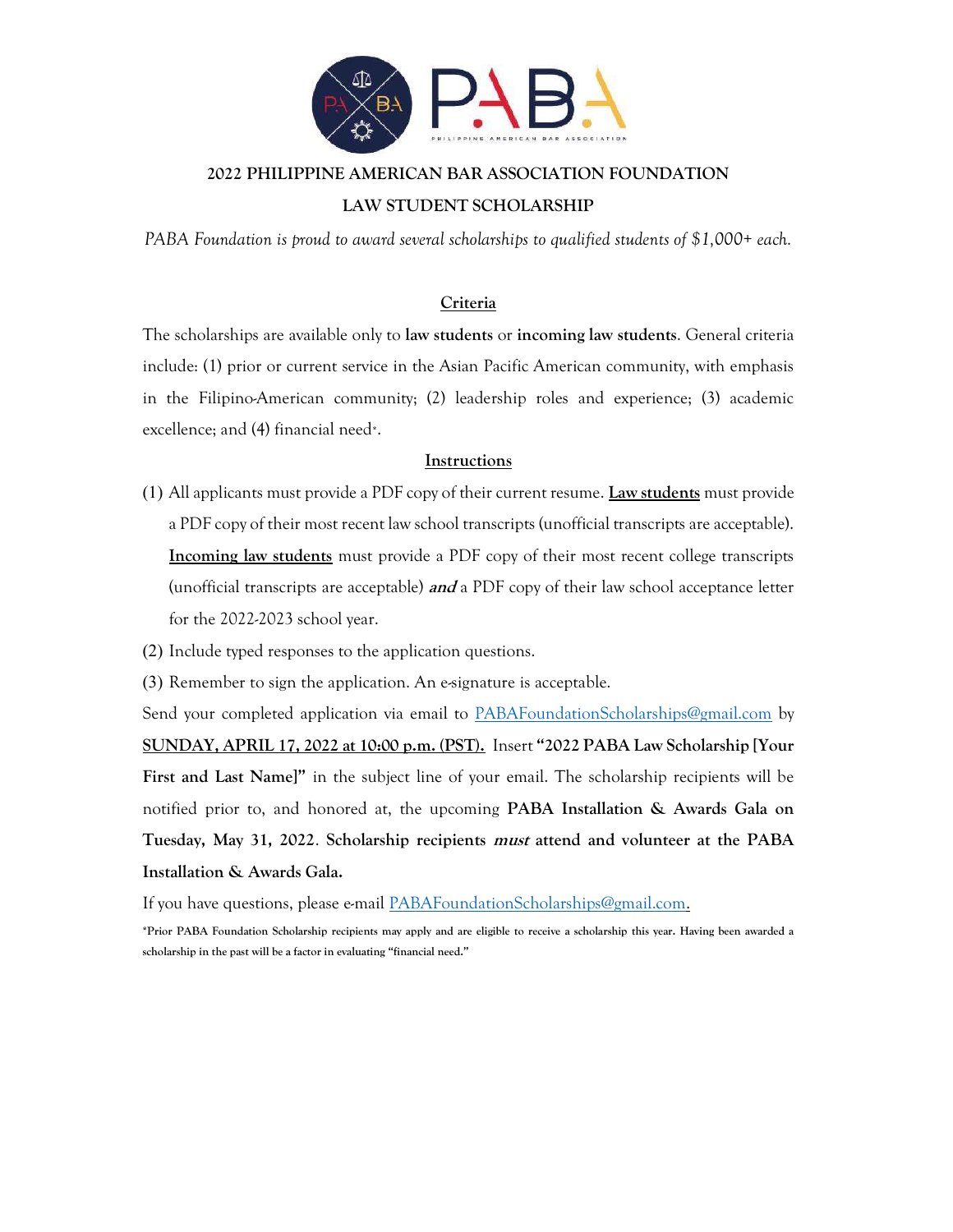

# 2022 PHILIPPINE AMERICAN BAR ASSOCIATION FOUNDATION LAW STUDENT SCHOLARSHIP

PABA Foundation is proud to award several scholarships to qualified students of \$1,000+ each.

### Criteria

The scholarships are available only to law students or incoming law students. General criteria include: (1) prior or current service in the Asian Pacific American community, with emphasis in the Filipino-American community; (2) leadership roles and experience; (3) academic excellence; and (4) financial need\*.

#### **Instructions**

- (1) All applicants must provide a PDF copy of their current resume. Law students must provide a PDF copy of their most recent law school transcripts (unofficial transcripts are acceptable). Incoming law students must provide a PDF copy of their most recent college transcripts (unofficial transcripts are acceptable) **and** a PDF copy of their law school acceptance letter for the 2022-2023 school year.
- (2) Include typed responses to the application questions.
- (3) Remember to sign the application. An e-signature is acceptable.

Send your completed application via email to PABAFoundationScholarships@gmail.com by SUNDAY, APRIL 17, 2022 at 10:00 p.m. (PST). Insert "2022 PABA Law Scholarship [Your First and Last Name]" in the subject line of your email. The scholarship recipients will be notified prior to, and honored at, the upcoming PABA Installation & Awards Gala on Tuesday, May 31, 2022. Scholarship recipients must attend and volunteer at the PABA Installation & Awards Gala.

If you have questions, please e-mail PABAFoundationScholarships@gmail.com.

\*Prior PABA Foundation Scholarship recipients may apply and are eligible to receive a scholarship this year. Having been awarded a scholarship in the past will be a factor in evaluating "financial need."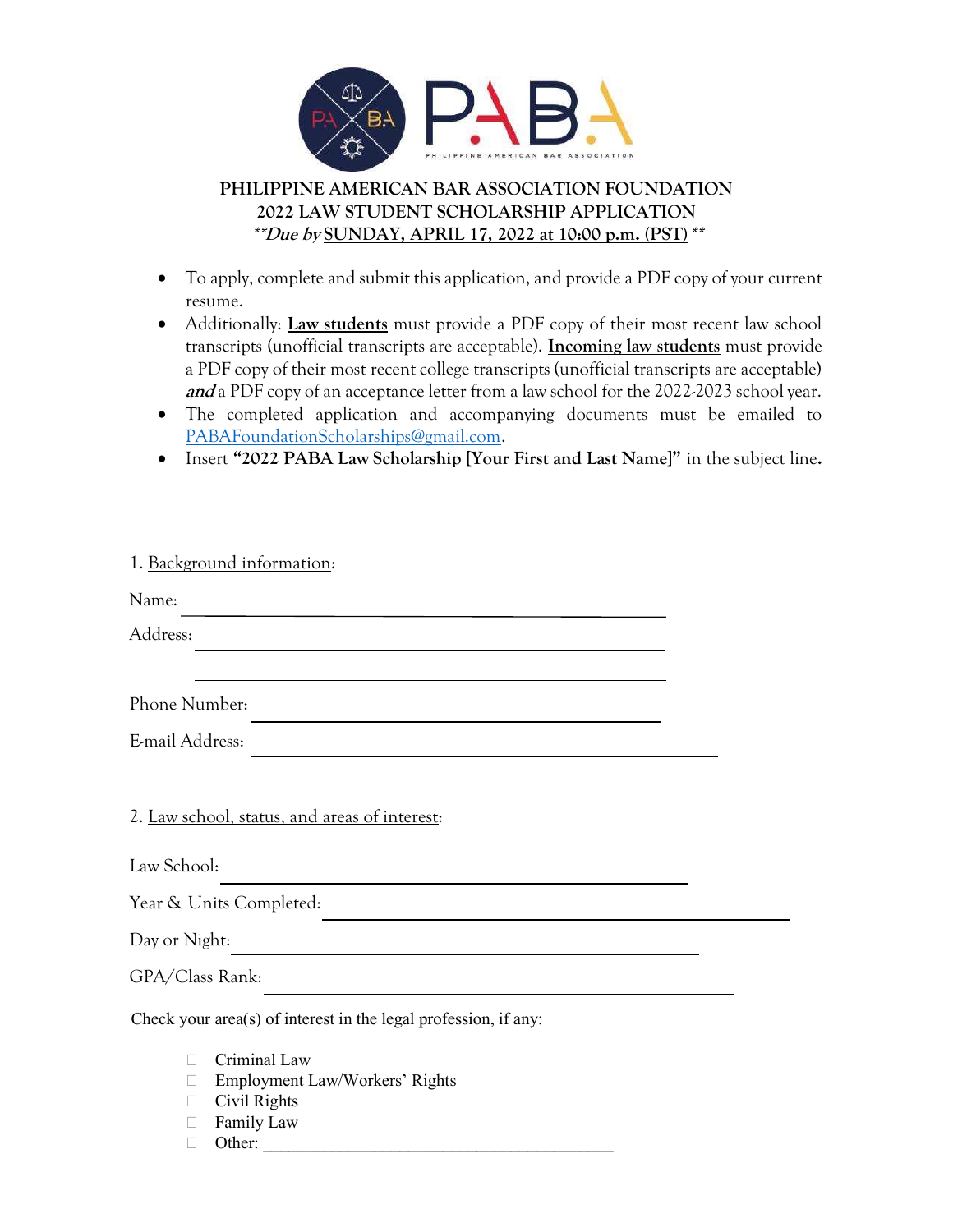

# PHILIPPINE AMERICAN BAR ASSOCIATION FOUNDATION 2022 LAW STUDENT SCHOLARSHIP APPLICATION \*\*Due by SUNDAY, APRIL 17, 2022 at 10:00 p.m. (PST) \*\*

- To apply, complete and submit this application, and provide a PDF copy of your current resume.
- Additionally: **Law students** must provide a PDF copy of their most recent law school transcripts (unofficial transcripts are acceptable). **Incoming law students** must provide a PDF copy of their most recent college transcripts (unofficial transcripts are acceptable) and a PDF copy of an acceptance letter from a law school for the 2022-2023 school year.
- The completed application and accompanying documents must be emailed to PABAFoundationScholarships@gmail.com.
- Insert "2022 PABA Law Scholarship [Your First and Last Name]" in the subject line.

| 1. Background information:                                                                         |  |  |  |  |  |
|----------------------------------------------------------------------------------------------------|--|--|--|--|--|
| Name:                                                                                              |  |  |  |  |  |
| Address:                                                                                           |  |  |  |  |  |
|                                                                                                    |  |  |  |  |  |
| Phone Number:                                                                                      |  |  |  |  |  |
| E-mail Address:<br>the contract of the contract of the contract of the contract of the contract of |  |  |  |  |  |
|                                                                                                    |  |  |  |  |  |
| 2. Law school, status, and areas of interest:                                                      |  |  |  |  |  |
| Law School:                                                                                        |  |  |  |  |  |
| Year & Units Completed:                                                                            |  |  |  |  |  |
| Day or Night:                                                                                      |  |  |  |  |  |
| GPA/Class Rank:                                                                                    |  |  |  |  |  |
| Check your area(s) of interest in the legal profession, if any:                                    |  |  |  |  |  |
| Criminal Law                                                                                       |  |  |  |  |  |
| Employment Law/Workers' Rights<br>$\Box$                                                           |  |  |  |  |  |
| Civil Rights<br>Family Law                                                                         |  |  |  |  |  |
| Other:                                                                                             |  |  |  |  |  |
|                                                                                                    |  |  |  |  |  |